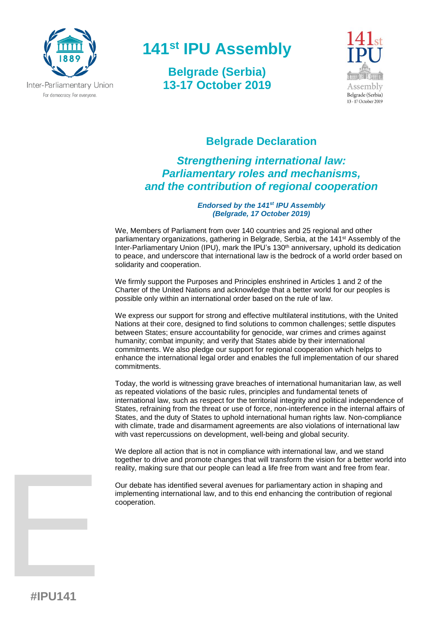

# **141 st IPU Assembly**

**Belgrade (Serbia) 13-17 October 2019**



## **Belgrade Declaration**

# *Strengthening international law: Parliamentary roles and mechanisms, and the contribution of regional cooperation*

#### *Endorsed by the 141st IPU Assembly (Belgrade, 17 October 2019)*

We, Members of Parliament from over 140 countries and 25 regional and other parliamentary organizations, gathering in Belgrade, Serbia, at the 141st Assembly of the Inter-Parliamentary Union (IPU), mark the IPU's 130th anniversary, uphold its dedication to peace, and underscore that international law is the bedrock of a world order based on solidarity and cooperation.

We firmly support the Purposes and Principles enshrined in Articles 1 and 2 of the Charter of the United Nations and acknowledge that a better world for our peoples is possible only within an international order based on the rule of law.

We express our support for strong and effective multilateral institutions, with the United Nations at their core, designed to find solutions to common challenges; settle disputes between States; ensure accountability for genocide, war crimes and crimes against humanity; combat impunity; and verify that States abide by their international commitments. We also pledge our support for regional cooperation which helps to enhance the international legal order and enables the full implementation of our shared commitments.

Today, the world is witnessing grave breaches of international humanitarian law, as well as repeated violations of the basic rules, principles and fundamental tenets of international law, such as respect for the territorial integrity and political independence of States, refraining from the threat or use of force, non-interference in the internal affairs of States, and the duty of States to uphold international human rights law. Non-compliance with climate, trade and disarmament agreements are also violations of international law with vast repercussions on development, well-being and global security.

We deplore all action that is not in compliance with international law, and we stand together to drive and promote changes that will transform the vision for a better world into reality, making sure that our people can lead a life free from want and free from fear.

Our debate has identified several avenues for parliamentary action in shaping and implementing international law, and to this end enhancing the contribution of regional cooperation.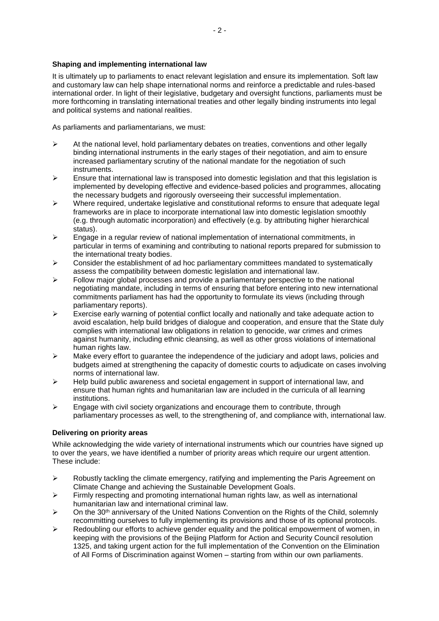#### **Shaping and implementing international law**

It is ultimately up to parliaments to enact relevant legislation and ensure its implementation*.* Soft law and customary law can help shape international norms and reinforce a predictable and rules-based international order. In light of their legislative, budgetary and oversight functions, parliaments must be more forthcoming in translating international treaties and other legally binding instruments into legal and political systems and national realities.

As parliaments and parliamentarians, we must:

- $\triangleright$  At the national level, hold parliamentary debates on treaties, conventions and other legally binding international instruments in the early stages of their negotiation, and aim to ensure increased parliamentary scrutiny of the national mandate for the negotiation of such instruments.
- $\triangleright$  Ensure that international law is transposed into domestic legislation and that this legislation is implemented by developing effective and evidence-based policies and programmes, allocating the necessary budgets and rigorously overseeing their successful implementation.
- $\triangleright$  Where required, undertake legislative and constitutional reforms to ensure that adequate legal frameworks are in place to incorporate international law into domestic legislation smoothly (e.g. through automatic incorporation) and effectively (e.g. by attributing higher hierarchical status).
- $\triangleright$  Engage in a regular review of national implementation of international commitments, in particular in terms of examining and contributing to national reports prepared for submission to the international treaty bodies.
- $\triangleright$  Consider the establishment of ad hoc parliamentary committees mandated to systematically assess the compatibility between domestic legislation and international law.
- $\triangleright$  Follow major global processes and provide a parliamentary perspective to the national negotiating mandate, including in terms of ensuring that before entering into new international commitments parliament has had the opportunity to formulate its views (including through parliamentary reports).
- $\triangleright$  Exercise early warning of potential conflict locally and nationally and take adequate action to avoid escalation, help build bridges of dialogue and cooperation, and ensure that the State duly complies with international law obligations in relation to genocide, war crimes and crimes against humanity, including ethnic cleansing, as well as other gross violations of international human rights law.
- $\triangleright$  Make every effort to quarantee the independence of the judiciary and adopt laws, policies and budgets aimed at strengthening the capacity of domestic courts to adjudicate on cases involving norms of international law.
- ➢ Help build public awareness and societal engagement in support of international law, and ensure that human rights and humanitarian law are included in the curricula of all learning institutions.
- $\triangleright$  Engage with civil society organizations and encourage them to contribute, through parliamentary processes as well, to the strengthening of, and compliance with, international law.

## **Delivering on priority areas**

While acknowledging the wide variety of international instruments which our countries have signed up to over the years, we have identified a number of priority areas which require our urgent attention. These include:

- $\triangleright$  Robustly tackling the climate emergency, ratifying and implementing the Paris Agreement on Climate Change and achieving the Sustainable Development Goals.
- $\triangleright$  Firmly respecting and promoting international human rights law, as well as international humanitarian law and international criminal law.
- ➢ On the 30th anniversary of the United Nations Convention on the Rights of the Child, solemnly recommitting ourselves to fully implementing its provisions and those of its optional protocols.
- $\triangleright$  Redoubling our efforts to achieve gender equality and the political empowerment of women, in keeping with the provisions of the Beijing Platform for Action and Security Council resolution 1325, and taking urgent action for the full implementation of the Convention on the Elimination of All Forms of Discrimination against Women – starting from within our own parliaments.